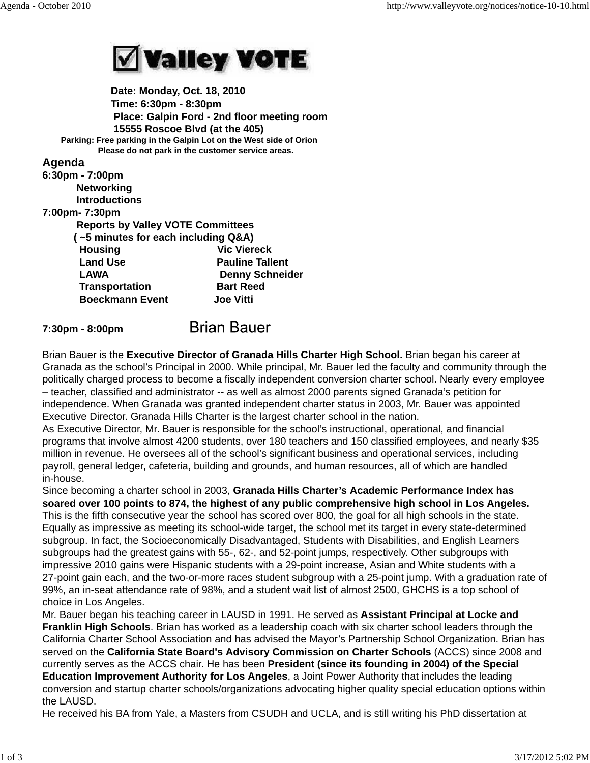

 **Date: Monday, Oct. 18, 2010 Time: 6:30pm - 8:30pm Place: Galpin Ford - 2nd floor meeting room 15555 Roscoe Blvd (at the 405) Parking: Free parking in the Galpin Lot on the West side of Orion Please do not park in the customer service areas.**

## **Agenda**

| 6:30pm - 7:00pm                          |                        |
|------------------------------------------|------------------------|
| <b>Networking</b>                        |                        |
| <b>Introductions</b>                     |                        |
| 7:00pm- 7:30pm                           |                        |
| <b>Reports by Valley VOTE Committees</b> |                        |
| (~5 minutes for each including Q&A)      |                        |
| <b>Housing</b>                           | <b>Vic Viereck</b>     |
| <b>Land Use</b>                          | <b>Pauline Tallent</b> |
| LAWA                                     | <b>Denny Schneider</b> |
| <b>Transportation</b>                    | <b>Bart Reed</b>       |
| <b>Boeckmann Event</b>                   | <b>Joe Vitti</b>       |
|                                          |                        |

## **Brian Bauer 7:30pm - 8:00pm**

Brian Bauer is the **Executive Director of Granada Hills Charter High School.** Brian began his career at Granada as the school's Principal in 2000. While principal, Mr. Bauer led the faculty and community through the politically charged process to become a fiscally independent conversion charter school. Nearly every employee – teacher, classified and administrator -- as well as almost 2000 parents signed Granada's petition for independence. When Granada was granted independent charter status in 2003, Mr. Bauer was appointed Executive Director. Granada Hills Charter is the largest charter school in the nation.

As Executive Director, Mr. Bauer is responsible for the school's instructional, operational, and financial programs that involve almost 4200 students, over 180 teachers and 150 classified employees, and nearly \$35 million in revenue. He oversees all of the school's significant business and operational services, including payroll, general ledger, cafeteria, building and grounds, and human resources, all of which are handled in-house.

Since becoming a charter school in 2003, **Granada Hills Charter's Academic Performance Index has soared over 100 points to 874, the highest of any public comprehensive high school in Los Angeles.** This is the fifth consecutive year the school has scored over 800, the goal for all high schools in the state. Equally as impressive as meeting its school-wide target, the school met its target in every state-determined subgroup. In fact, the Socioeconomically Disadvantaged, Students with Disabilities, and English Learners subgroups had the greatest gains with 55-, 62-, and 52-point jumps, respectively. Other subgroups with impressive 2010 gains were Hispanic students with a 29-point increase, Asian and White students with a 27-point gain each, and the two-or-more races student subgroup with a 25-point jump. With a graduation rate of 99%, an in-seat attendance rate of 98%, and a student wait list of almost 2500, GHCHS is a top school of choice in Los Angeles.

Mr. Bauer began his teaching career in LAUSD in 1991. He served as **Assistant Principal at Locke and Franklin High Schools**. Brian has worked as a leadership coach with six charter school leaders through the California Charter School Association and has advised the Mayor's Partnership School Organization. Brian has served on the **California State Board's Advisory Commission on Charter Schools** (ACCS) since 2008 and currently serves as the ACCS chair. He has been **President (since its founding in 2004) of the Special Education Improvement Authority for Los Angeles**, a Joint Power Authority that includes the leading conversion and startup charter schools/organizations advocating higher quality special education options within the LAUSD.

He received his BA from Yale, a Masters from CSUDH and UCLA, and is still writing his PhD dissertation at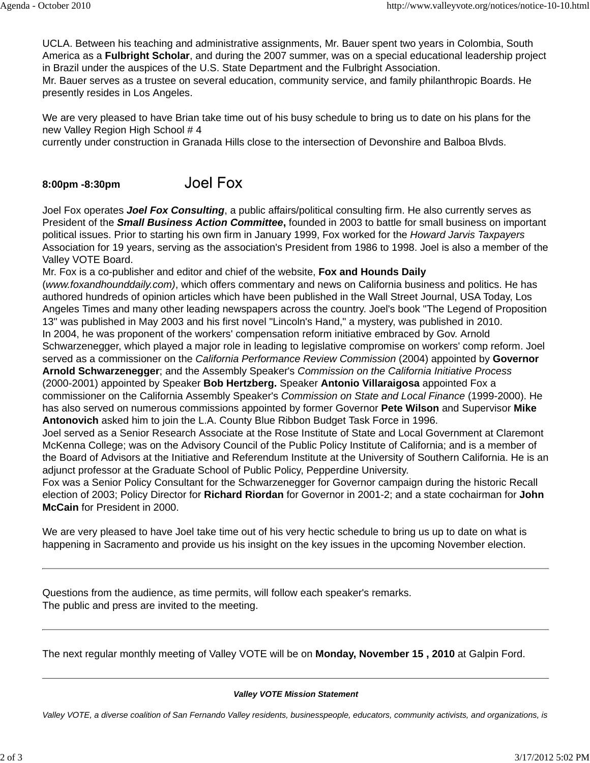UCLA. Between his teaching and administrative assignments, Mr. Bauer spent two years in Colombia, South America as a **Fulbright Scholar**, and during the 2007 summer, was on a special educational leadership project in Brazil under the auspices of the U.S. State Department and the Fulbright Association.

Mr. Bauer serves as a trustee on several education, community service, and family philanthropic Boards. He presently resides in Los Angeles.

We are very pleased to have Brian take time out of his busy schedule to bring us to date on his plans for the new Valley Region High School # 4

currently under construction in Granada Hills close to the intersection of Devonshire and Balboa Blvds.

## **Joel Fox 8:00pm -8:30pm**

Joel Fox operates *Joel Fox Consulting*, a public affairs/political consulting firm. He also currently serves as President of the *Small Business Action Committee***,** founded in 2003 to battle for small business on important political issues. Prior to starting his own firm in January 1999, Fox worked for the *Howard Jarvis Taxpayers* Association for 19 years, serving as the association's President from 1986 to 1998. Joel is also a member of the Valley VOTE Board.

Mr. Fox is a co-publisher and editor and chief of the website, **Fox and Hounds Daily**

(*www.foxandhounddaily.com)*, which offers commentary and news on California business and politics. He has authored hundreds of opinion articles which have been published in the Wall Street Journal, USA Today, Los Angeles Times and many other leading newspapers across the country. Joel's book "The Legend of Proposition 13" was published in May 2003 and his first novel "Lincoln's Hand," a mystery, was published in 2010. In 2004, he was proponent of the workers' compensation reform initiative embraced by Gov. Arnold Schwarzenegger, which played a major role in leading to legislative compromise on workers' comp reform. Joel

served as a commissioner on the *California Performance Review Commission* (2004) appointed by **Governor Arnold Schwarzenegger**; and the Assembly Speaker's *Commission on the California Initiative Process* (2000-2001) appointed by Speaker **Bob Hertzberg.** Speaker **Antonio Villaraigosa** appointed Fox a

commissioner on the California Assembly Speaker's *Commission on State and Local Finance* (1999-2000). He has also served on numerous commissions appointed by former Governor **Pete Wilson** and Supervisor **Mike Antonovich** asked him to join the L.A. County Blue Ribbon Budget Task Force in 1996.

Joel served as a Senior Research Associate at the Rose Institute of State and Local Government at Claremont McKenna College; was on the Advisory Council of the Public Policy Institute of California; and is a member of the Board of Advisors at the Initiative and Referendum Institute at the University of Southern California. He is an adjunct professor at the Graduate School of Public Policy, Pepperdine University.

Fox was a Senior Policy Consultant for the Schwarzenegger for Governor campaign during the historic Recall election of 2003; Policy Director for **Richard Riordan** for Governor in 2001-2; and a state cochairman for **John McCain** for President in 2000.

We are very pleased to have Joel take time out of his very hectic schedule to bring us up to date on what is happening in Sacramento and provide us his insight on the key issues in the upcoming November election.

Questions from the audience, as time permits, will follow each speaker's remarks. The public and press are invited to the meeting.

The next regular monthly meeting of Valley VOTE will be on **Monday, November 15 , 2010** at Galpin Ford.

## *Valley VOTE Mission Statement*

*Valley VOTE, a diverse coalition of San Fernando Valley residents, businesspeople, educators, community activists, and organizations, is*